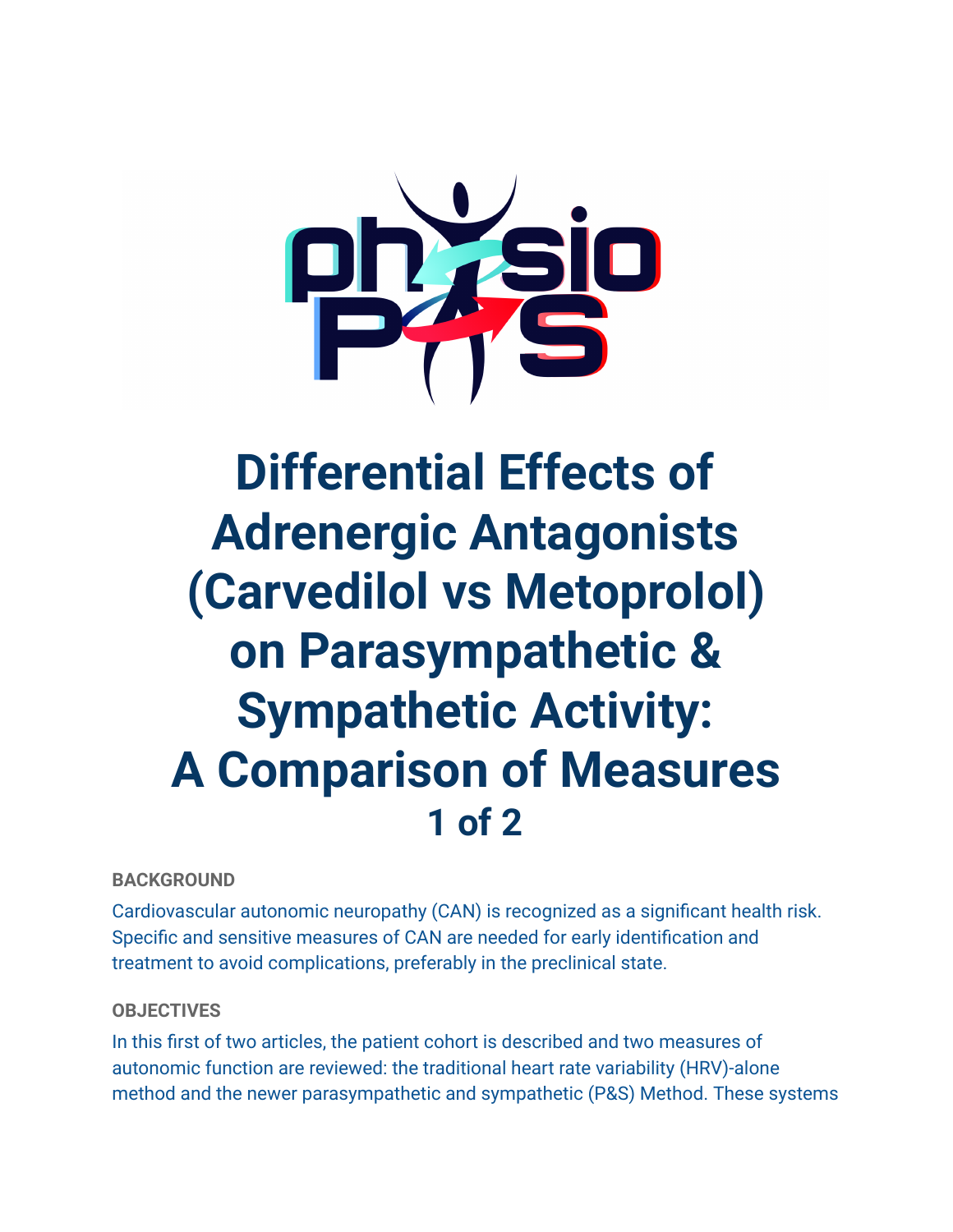

# **Differential Effects of Adrenergic Antagonists (Carvedilol vs Metoprolol) on Parasympathetic & Sympathetic Activity: A Comparison of Measures 1 of 2**

# **BACKGROUND**

Cardiovascular autonomic neuropathy (CAN) is recognized as a significant health risk. Specific and sensitive measures of CAN are needed for early identification and treatment to avoid complications, preferably in the preclinical state.

# **OBJECTIVES**

In this first of two articles, the patient cohort is described and two measures of autonomic function are reviewed: the traditional heart rate variability (HRV)-alone method and the newer parasympathetic and sympathetic (P&S) Method. These systems